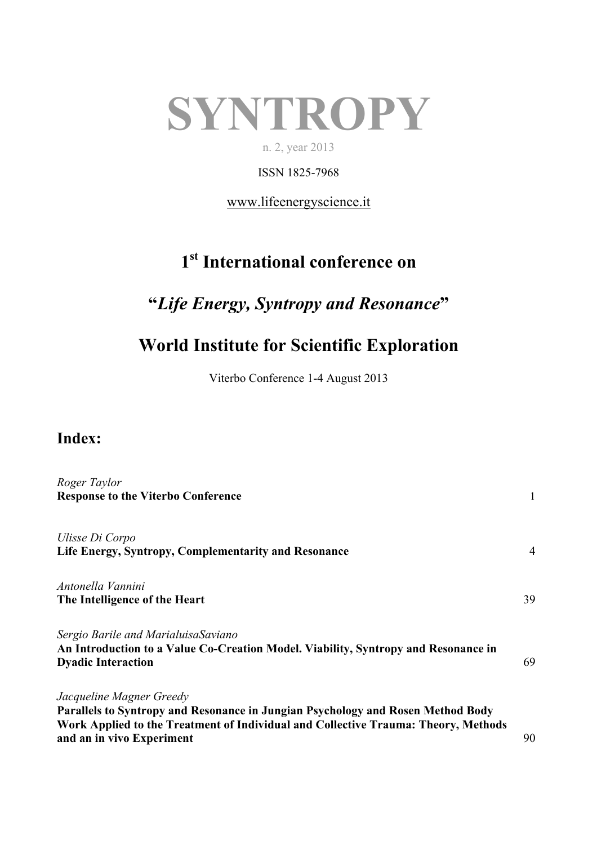# **SYNTROPY**

n. 2, year 2013

#### ISSN 1825-7968

www.lifeenergyscience.it

## **1st International conference on**

#### **"***Life Energy, Syntropy and Resonance***"**

### **World Institute for Scientific Exploration**

Viterbo Conference 1-4 August 2013

#### **Index:**

| Roger Taylor                                                                       |    |
|------------------------------------------------------------------------------------|----|
| <b>Response to the Viterbo Conference</b>                                          | 1  |
|                                                                                    |    |
| Ulisse Di Corpo                                                                    |    |
| Life Energy, Syntropy, Complementarity and Resonance                               | 4  |
| Antonella Vannini                                                                  |    |
| The Intelligence of the Heart                                                      | 39 |
| Sergio Barile and MarialuisaSaviano                                                |    |
| An Introduction to a Value Co-Creation Model. Viability, Syntropy and Resonance in |    |
| <b>Dyadic Interaction</b>                                                          | 69 |
| Jacqueline Magner Greedy                                                           |    |
| Parallels to Syntropy and Resonance in Jungian Psychology and Rosen Method Body    |    |
| Work Applied to the Treatment of Individual and Collective Trauma: Theory, Methods |    |
| and an in vivo Experiment                                                          | 90 |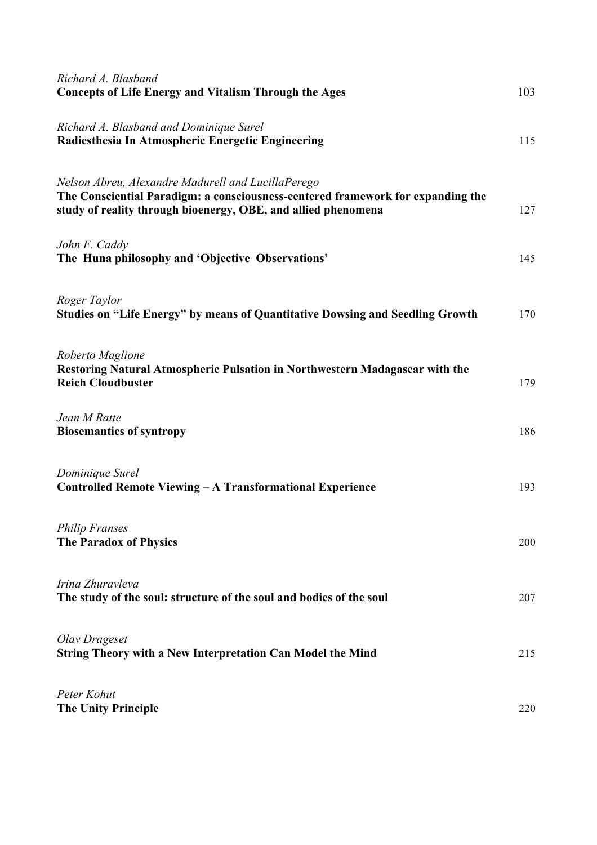| Richard A. Blasband<br><b>Concepts of Life Energy and Vitalism Through the Ages</b>                                                                                                                    | 103 |
|--------------------------------------------------------------------------------------------------------------------------------------------------------------------------------------------------------|-----|
| Richard A. Blasband and Dominique Surel<br>Radiesthesia In Atmospheric Energetic Engineering                                                                                                           | 115 |
| Nelson Abreu, Alexandre Madurell and LucillaPerego<br>The Consciential Paradigm: a consciousness-centered framework for expanding the<br>study of reality through bioenergy, OBE, and allied phenomena | 127 |
| John F. Caddy<br>The Huna philosophy and 'Objective Observations'                                                                                                                                      | 145 |
| Roger Taylor<br>Studies on "Life Energy" by means of Quantitative Dowsing and Seedling Growth                                                                                                          | 170 |
| Roberto Maglione<br>Restoring Natural Atmospheric Pulsation in Northwestern Madagascar with the<br><b>Reich Cloudbuster</b>                                                                            | 179 |
| Jean M Ratte<br><b>Biosemantics of syntropy</b>                                                                                                                                                        | 186 |
| Dominique Surel<br><b>Controlled Remote Viewing - A Transformational Experience</b>                                                                                                                    | 193 |
| <b>Philip Franses</b><br><b>The Paradox of Physics</b>                                                                                                                                                 | 200 |
| Irina Zhuravleva<br>The study of the soul: structure of the soul and bodies of the soul                                                                                                                | 207 |
| Olav Drageset<br><b>String Theory with a New Interpretation Can Model the Mind</b>                                                                                                                     | 215 |
| Peter Kohut<br><b>The Unity Principle</b>                                                                                                                                                              | 220 |